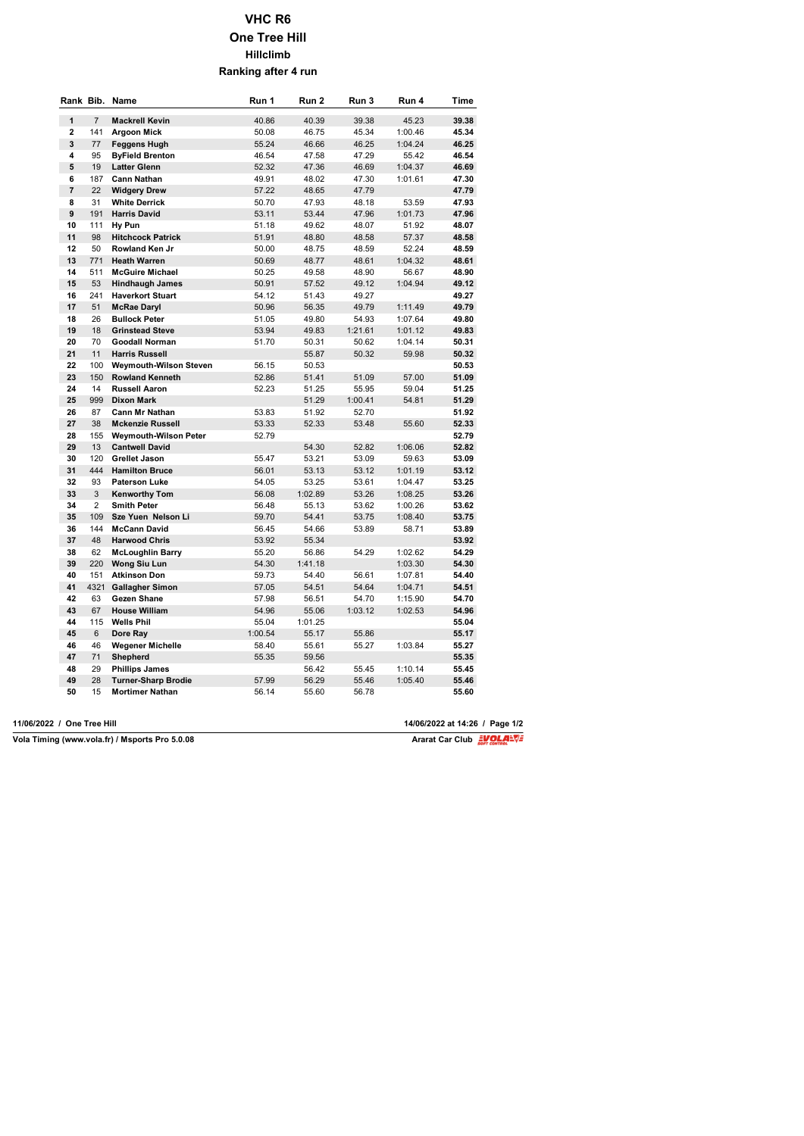## **VHC R6 One Tree Hill Hillclimb Ranking after 4 run**

|                         |                | Rank Bib. Name               | Run 1   | Run 2   | Run 3   | Run 4   | Time  |
|-------------------------|----------------|------------------------------|---------|---------|---------|---------|-------|
| $\mathbf{1}$            | $\overline{7}$ | <b>Mackrell Kevin</b>        | 40.86   | 40.39   | 39.38   | 45.23   | 39.38 |
| $\overline{\mathbf{c}}$ | 141            | <b>Argoon Mick</b>           | 50.08   | 46.75   | 45.34   | 1:00.46 | 45.34 |
| 3                       | 77             | Feggens Hugh                 | 55.24   | 46.66   | 46.25   | 1:04.24 | 46.25 |
| 4                       | 95             | <b>ByField Brenton</b>       | 46.54   | 47.58   | 47.29   | 55.42   | 46.54 |
| 5                       | 19             | <b>Latter Glenn</b>          | 52.32   | 47.36   | 46.69   | 1:04.37 | 46.69 |
| 6                       | 187            | <b>Cann Nathan</b>           | 49.91   | 48.02   | 47.30   | 1:01.61 | 47.30 |
| $\overline{7}$          | 22             | <b>Widgery Drew</b>          | 57.22   | 48.65   | 47.79   |         | 47.79 |
| 8                       | 31             | <b>White Derrick</b>         | 50.70   | 47.93   | 48.18   | 53.59   | 47.93 |
| 9                       | 191            | <b>Harris David</b>          | 53.11   | 53.44   | 47.96   | 1:01.73 | 47.96 |
| 10                      | 111            | Hy Pun                       | 51.18   | 49.62   | 48.07   | 51.92   | 48.07 |
| 11                      | 98             | <b>Hitchcock Patrick</b>     | 51.91   | 48.80   | 48.58   | 57.37   | 48.58 |
| 12                      | 50             | Rowland Ken Jr               | 50.00   | 48.75   | 48.59   | 52.24   | 48.59 |
| 13                      | 771            | <b>Heath Warren</b>          | 50.69   | 48.77   | 48.61   | 1:04.32 | 48.61 |
| 14                      | 511            | <b>McGuire Michael</b>       | 50.25   | 49.58   | 48.90   | 56.67   | 48.90 |
| 15                      | 53             | <b>Hindhaugh James</b>       | 50.91   | 57.52   | 49.12   | 1:04.94 | 49.12 |
| 16                      | 241            | <b>Haverkort Stuart</b>      | 54.12   | 51.43   | 49.27   |         | 49.27 |
| 17                      | 51             | <b>McRae Daryl</b>           | 50.96   | 56.35   | 49.79   | 1:11.49 | 49.79 |
| 18                      | 26             | <b>Bullock Peter</b>         | 51.05   | 49.80   | 54.93   | 1:07.64 | 49.80 |
| 19                      | 18             | <b>Grinstead Steve</b>       | 53.94   | 49.83   | 1:21.61 | 1:01.12 | 49.83 |
| 20                      | 70             | <b>Goodall Norman</b>        | 51.70   | 50.31   | 50.62   | 1:04.14 | 50.31 |
| 21                      | 11             | <b>Harris Russell</b>        |         | 55.87   | 50.32   | 59.98   | 50.32 |
| 22                      | 100            | Weymouth-Wilson Steven       | 56.15   | 50.53   |         |         | 50.53 |
| 23                      | 150            | <b>Rowland Kenneth</b>       | 52.86   | 51.41   | 51.09   | 57.00   | 51.09 |
| 24                      | 14             | <b>Russell Aaron</b>         | 52.23   | 51.25   | 55.95   | 59.04   | 51.25 |
| 25                      | 999            | <b>Dixon Mark</b>            |         | 51.29   | 1:00.41 | 54.81   | 51.29 |
| 26                      | 87             | <b>Cann Mr Nathan</b>        | 53.83   | 51.92   | 52.70   |         | 51.92 |
| 27                      | 38             | <b>Mckenzie Russell</b>      | 53.33   | 52.33   | 53.48   | 55.60   | 52.33 |
| 28                      | 155            | <b>Weymouth-Wilson Peter</b> | 52.79   |         |         |         | 52.79 |
| 29                      | 13             | <b>Cantwell David</b>        |         | 54.30   | 52.82   | 1:06.06 | 52.82 |
| 30                      | 120            | <b>Grellet Jason</b>         | 55.47   | 53.21   | 53.09   | 59.63   | 53.09 |
| 31                      | 444            | <b>Hamilton Bruce</b>        | 56.01   | 53.13   | 53.12   | 1:01.19 | 53.12 |
| 32                      | 93             | <b>Paterson Luke</b>         | 54.05   | 53.25   | 53.61   | 1:04.47 | 53.25 |
| 33                      | 3              | <b>Kenworthy Tom</b>         | 56.08   | 1:02.89 | 53.26   | 1:08.25 | 53.26 |
| 34                      | $\overline{2}$ | <b>Smith Peter</b>           | 56.48   | 55.13   | 53.62   | 1:00.26 | 53.62 |
| 35                      | 109            | Sze Yuen Nelson Li           | 59.70   | 54.41   | 53.75   | 1:08.40 | 53.75 |
| 36                      | 144            | <b>McCann David</b>          | 56.45   | 54.66   | 53.89   | 58.71   | 53.89 |
| 37                      | 48             | <b>Harwood Chris</b>         | 53.92   | 55.34   |         |         | 53.92 |
| 38                      | 62             | <b>McLoughlin Barry</b>      | 55.20   | 56.86   | 54.29   | 1:02.62 | 54.29 |
| 39                      | 220            | Wong Siu Lun                 | 54.30   | 1:41.18 |         | 1:03.30 | 54.30 |
| 40                      | 151            | <b>Atkinson Don</b>          | 59.73   | 54.40   | 56.61   | 1:07.81 | 54.40 |
| 41                      |                | 4321 Gallagher Simon         | 57.05   | 54.51   | 54.64   | 1:04.71 | 54.51 |
| 42                      | 63             | Gezen Shane                  | 57.98   | 56.51   | 54.70   | 1:15.90 | 54.70 |
| 43                      | 67             | <b>House William</b>         | 54.96   | 55.06   | 1:03.12 | 1:02.53 | 54.96 |
| 44                      | 115            | <b>Wells Phil</b>            | 55.04   | 1:01.25 |         |         | 55.04 |
| 45                      | 6              | Dore Ray                     | 1:00.54 | 55.17   | 55.86   |         | 55.17 |
| 46                      | 46             | <b>Wegener Michelle</b>      | 58.40   | 55.61   | 55.27   | 1:03.84 | 55.27 |
| 47                      | 71             | Shepherd                     | 55.35   | 59.56   |         |         | 55.35 |
| 48                      | 29             | <b>Phillips James</b>        |         | 56.42   | 55.45   | 1:10.14 | 55.45 |
| 49                      | 28             | <b>Turner-Sharp Brodie</b>   | 57.99   | 56.29   | 55.46   | 1:05.40 | 55.46 |
| 50                      | 15             | <b>Mortimer Nathan</b>       | 56.14   | 55.60   | 56.78   |         | 55.60 |

 $\overline{\text{Vola}$  Timing (www.vola.fr) / Msports Pro 5.0.08

**11/06/2022 / One Tree Hill 14/06/2022 at 14:26 / Page 1/2**

Ararat Car Club **EVOLANT**